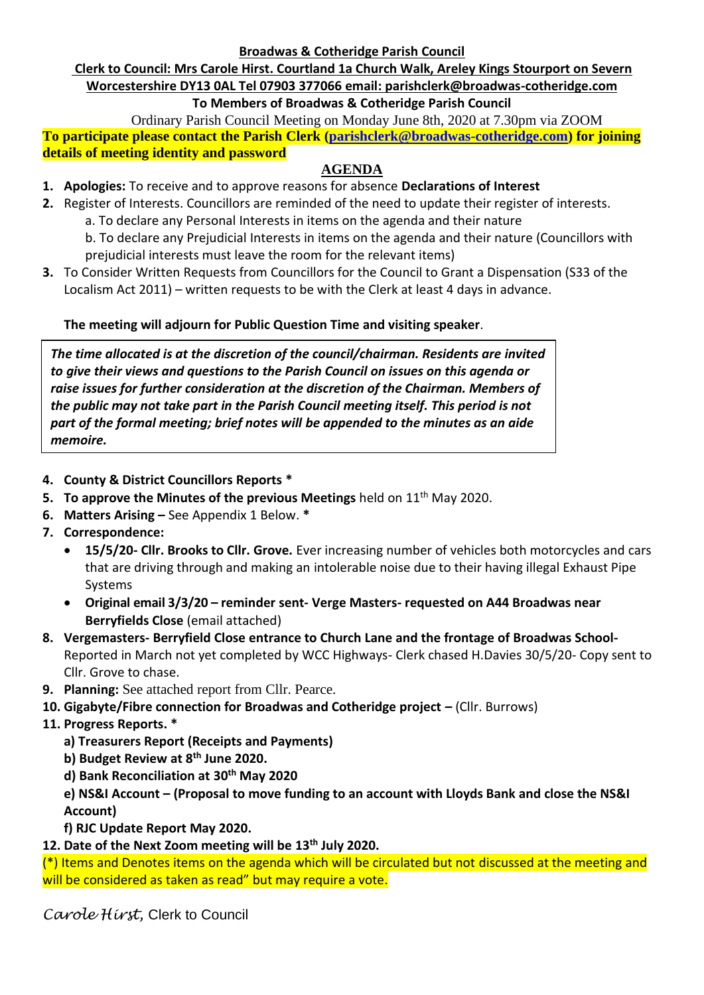**Broadwas & Cotheridge Parish Council**

# **Clerk to Council: Mrs Carole Hirst. Courtland 1a Church Walk, Areley Kings Stourport on Severn Worcestershire DY13 0AL Tel 07903 377066 email: parishclerk@broadwas-cotheridge.com**

### **To Members of Broadwas & Cotheridge Parish Council**

Ordinary Parish Council Meeting on Monday June 8th, 2020 at 7.30pm via ZOOM **To participate please contact the Parish Clerk [\(parishclerk@broadwas-cotheridge.com\)](mailto:parishclerk@broadwas-cotheridge.com) for joining details of meeting identity and password**

## **AGENDA**

- **1. Apologies:** To receive and to approve reasons for absence **Declarations of Interest**
- **2.** Register of Interests. Councillors are reminded of the need to update their register of interests.
	- a. To declare any Personal Interests in items on the agenda and their nature
	- b. To declare any Prejudicial Interests in items on the agenda and their nature (Councillors with prejudicial interests must leave the room for the relevant items)
- **3.** To Consider Written Requests from Councillors for the Council to Grant a Dispensation (S33 of the Localism Act 2011) – written requests to be with the Clerk at least 4 days in advance.

### **The meeting will adjourn for Public Question Time and visiting speaker**.

*The time allocated is at the discretion of the council/chairman. Residents are invited to give their views and questions to the Parish Council on issues on this agenda or raise issues for further consideration at the discretion of the Chairman. Members of the public may not take part in the Parish Council meeting itself. This period is not part of the formal meeting; brief notes will be appended to the minutes as an aide memoire.*

- **4. County & District Councillors Reports \***
- **5. To approve the Minutes of the previous Meetings** held on 11<sup>th</sup> May 2020.
- **6. Matters Arising –** See Appendix 1 Below. **\***
- **7. Correspondence:**
	- **15/5/20- Cllr. Brooks to Cllr. Grove.** Ever increasing number of vehicles both motorcycles and cars that are driving through and making an intolerable noise due to their having illegal Exhaust Pipe Systems
	- **Original email 3/3/20 – reminder sent- Verge Masters- requested on A44 Broadwas near Berryfields Close** (email attached)
- **8. Vergemasters- Berryfield Close entrance to Church Lane and the frontage of Broadwas School-**Reported in March not yet completed by WCC Highways- Clerk chased H.Davies 30/5/20- Copy sent to Cllr. Grove to chase.
- **9. Planning:** See attached report from Cllr. Pearce.
- **10. Gigabyte/Fibre connection for Broadwas and Cotheridge project –** (Cllr. Burrows)
- **11. Progress Reports. \***
	- **a) Treasurers Report (Receipts and Payments)**
	- **b) Budget Review at 8 th June 2020.**
	- **d) Bank Reconciliation at 30th May 2020**

### **e) NS&I Account – (Proposal to move funding to an account with Lloyds Bank and close the NS&I Account)**

**f) RJC Update Report May 2020.**

# **12. Date of the Next Zoom meeting will be 13th July 2020.**

 $(*)$  Items and Denotes items on the agenda which will be circulated but not discussed at the meeting and will be considered as taken as read" but may require a vote.

*Carole Hirst,* Clerk to Council